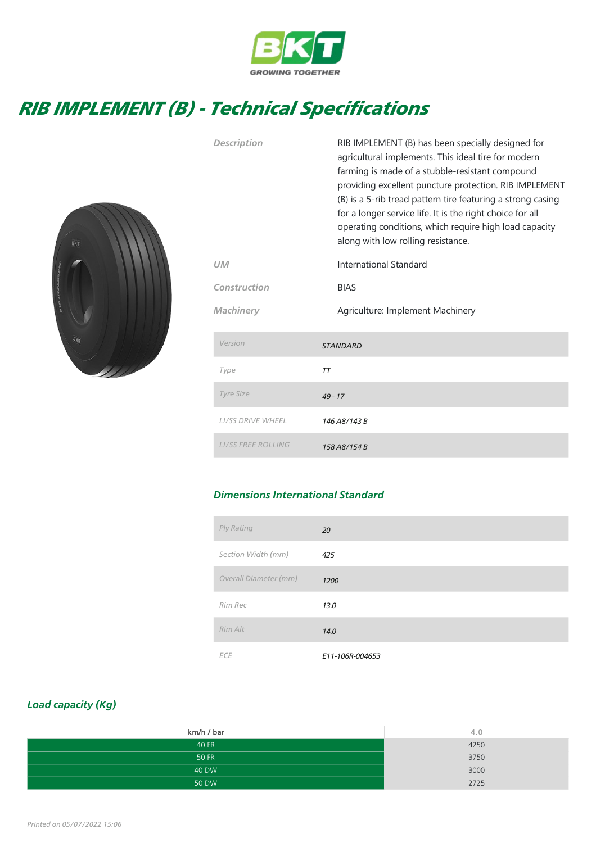

## RIB IMPLEMENT (B) - Technical Specifications



| Description<br>UM<br>Construction | RIB IMPLEMENT (B) has been specially designed for<br>agricultural implements. This ideal tire for modern<br>farming is made of a stubble-resistant compound<br>providing excellent puncture protection. RIB IMPLEMENT<br>(B) is a 5-rib tread pattern tire featuring a strong casing<br>for a longer service life. It is the right choice for all<br>operating conditions, which require high load capacity<br>along with low rolling resistance.<br>International Standard<br><b>BIAS</b> |
|-----------------------------------|--------------------------------------------------------------------------------------------------------------------------------------------------------------------------------------------------------------------------------------------------------------------------------------------------------------------------------------------------------------------------------------------------------------------------------------------------------------------------------------------|
|                                   |                                                                                                                                                                                                                                                                                                                                                                                                                                                                                            |
| Machinery                         | Agriculture: Implement Machinery                                                                                                                                                                                                                                                                                                                                                                                                                                                           |
| Version                           | <b>STANDARD</b>                                                                                                                                                                                                                                                                                                                                                                                                                                                                            |
| Type                              | <b>TT</b>                                                                                                                                                                                                                                                                                                                                                                                                                                                                                  |
| <b>Tyre Size</b>                  | $49 - 17$                                                                                                                                                                                                                                                                                                                                                                                                                                                                                  |
| <b>LI/SS DRIVE WHEEL</b>          | 146 A8/143 B                                                                                                                                                                                                                                                                                                                                                                                                                                                                               |
| <b>LI/SS FREE ROLLING</b>         | 158 A8/154 B                                                                                                                                                                                                                                                                                                                                                                                                                                                                               |

## Dimensions International Standard

| Ply Rating            | 20              |
|-----------------------|-----------------|
| Section Width (mm)    | 425             |
| Overall Diameter (mm) | 1200            |
| Rim Rec               | 13.0            |
| Rim Alt               | 14.0            |
| <b>ECE</b>            | E11-106R-004653 |

## Load capacity (Kg)

| km/h / bar   | 4.0  |
|--------------|------|
| 40 FR        | 4250 |
| <b>50 FR</b> | 3750 |
| 40 DW        | 3000 |
| 50 DW        | 2725 |